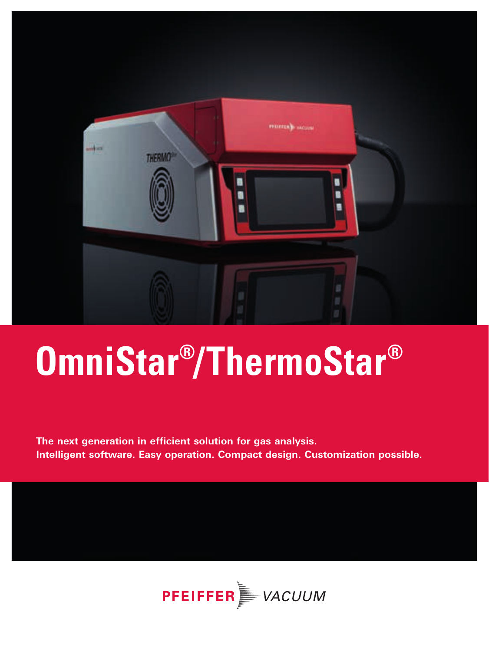

# **OmniStar® /ThermoStar®**

**The next generation in efficient solution for gas analysis. Intelligent software. Easy operation. Compact design. Customization possible.**

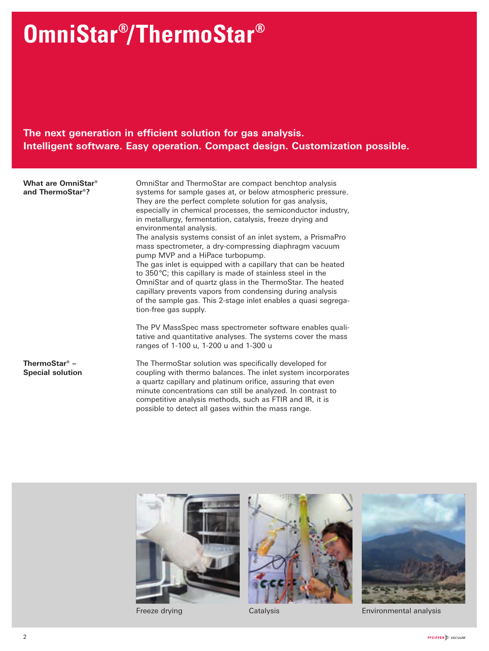## **OmniStar® /ThermoStar®**

### **The next generation in efficient solution for gas analysis. Intelligent software. Easy operation. Compact design. Customization possible.**

**What are OmniStar® and ThermoStar®?**

OmniStar and ThermoStar are compact benchtop analysis systems for sample gases at, or below atmospheric pressure. They are the perfect complete solution for gas analysis, especially in chemical processes, the semiconductor industry, in metallurgy, fermentation, catalysis, freeze drying and environmental analysis. The analysis systems consist of an inlet system, a PrismaPro mass spectrometer, a dry-compressing diaphragm vacuum pump MVP and a HiPace turbopump. The gas inlet is equipped with a capillary that can be heated to 350°C; this capillary is made of stainless steel in the OmniStar and of quartz glass in the ThermoStar. The heated capillary prevents vapors from condensing during analysis of the sample gas. This 2-stage inlet enables a quasi segregation-free gas supply.

The PV MassSpec mass spectrometer software enables qualitative and quantitative analyses. The systems cover the mass ranges of 1-100 u, 1-200 u and 1-300 u

**ThermoStar® – Special solution** The ThermoStar solution was specifically developed for coupling with thermo balances. The inlet system incorporates a quartz capillary and platinum orifice, assuring that even minute concentrations can still be analyzed. In contrast to competitive analysis methods, such as FTIR and IR, it is possible to detect all gases within the mass range.







Freeze drying Catalysis Environmental analysis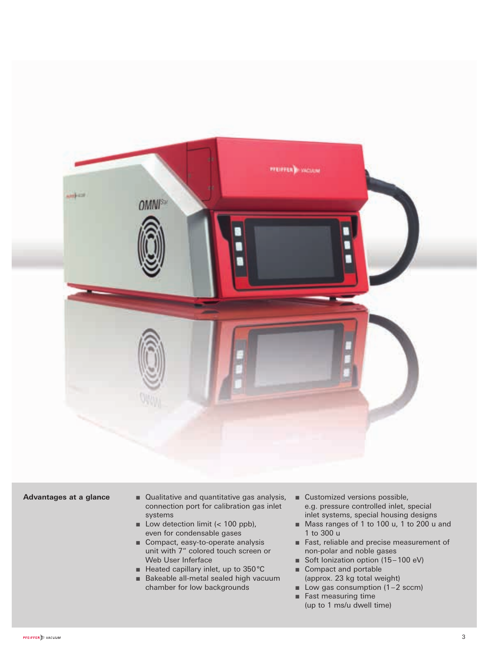

- **Advantages at a glance** Qualitative and quantitative gas analysis, connection port for calibration gas inlet systems
	- Low detection limit (< 100 ppb), even for condensable gases
	- Compact, easy-to-operate analysis unit with 7" colored touch screen or Web User Inferface
	- Heated capillary inlet, up to 350 °C
	- Bakeable all-metal sealed high vacuum chamber for low backgrounds
- Customized versions possible, e.g. pressure controlled inlet, special inlet systems, special housing designs
- Mass ranges of 1 to 100 u, 1 to 200 u and 1 to 300 u
- Fast, reliable and precise measurement of non-polar and noble gases
- Soft Ionization option (15-100 eV)
- Compact and portable (approx. 23 kg total weight)
- Low gas consumption  $(1-2 \text{sccm})$
- Fast measuring time (up to 1 ms/u dwell time)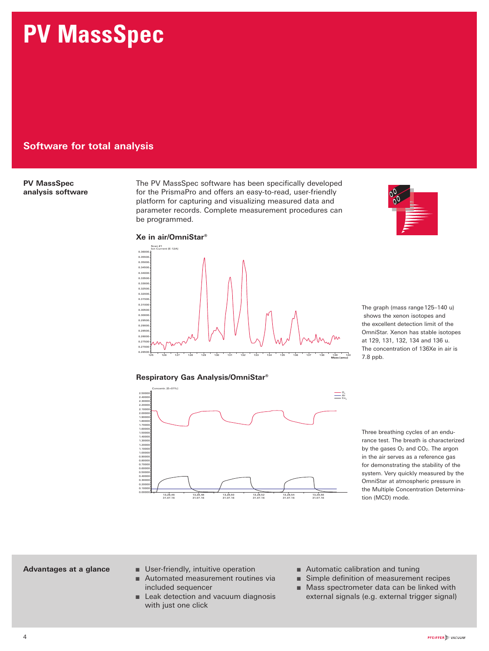## **PV MassSpec**

#### **Software for total analysis**

#### **PV MassSpec analysis software**

The PV MassSpec software has been specifically developed for the PrismaPro and offers an easy-to-read, user-friendly platform for capturing and visualizing measured data and parameter records. Complete measurement procedures can be programmed.

#### **Xe in air/OmniStar®**



**Respiratory Gas Analysis/OmniStar®** 



 The graph (mass range 125–140 u) shows the xenon isotopes and the excellent detection limit of the OmniStar. Xenon has stable isotopes at 129, 131, 132, 134 and 136 u. The concentration of 136Xe in air is 7.8 ppb.

 Three breathing cycles of an endurance test. The breath is characterized by the gases  $O_2$  and  $CO_2$ . The argon in the air serves as a reference gas for demonstrating the stability of the system. Very quickly measured by the OmniStar at atmospheric pressure in the Multiple Concentration Determination (MCD) mode.

- **Advantages at a glance**  User-friendly, intuitive operation
	- Automated measurement routines via included sequencer
	- Leak detection and vacuum diagnosis with just one click
- Automatic calibration and tuning
- Simple definition of measurement recipes
- Mass spectrometer data can be linked with external signals (e.g. external trigger signal)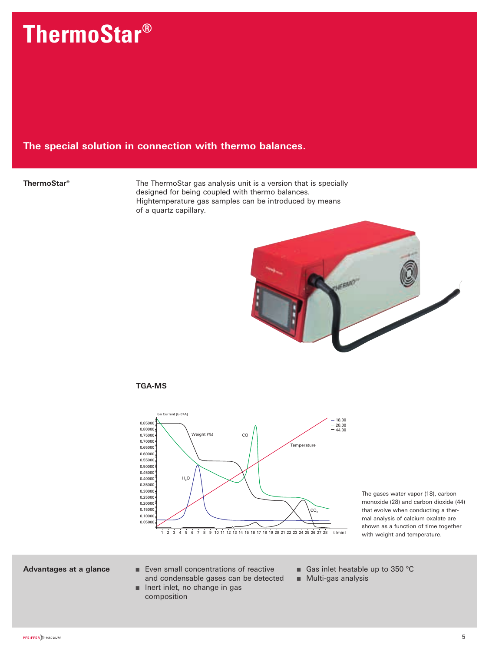## **ThermoStar®**

#### **The special solution in connection with thermo balances.**

**ThermoStar<sup>®</sup>** The ThermoStar gas analysis unit is a version that is specially designed for being coupled with thermo balances. Hightemperature gas samples can be introduced by means of a quartz capillary.



#### **TGA-MS**



The gases water vapor (18), carbon monoxide (28) and carbon dioxide (44) that evolve when conducting a thermal analysis of calcium oxalate are shown as a function of time together with weight and temperature.

- **Advantages at a glance** Even small concentrations of reactive and condensable gases can be detected
	- Inert inlet, no change in gas composition
- Gas inlet heatable up to 350 °C
- Multi-gas analysis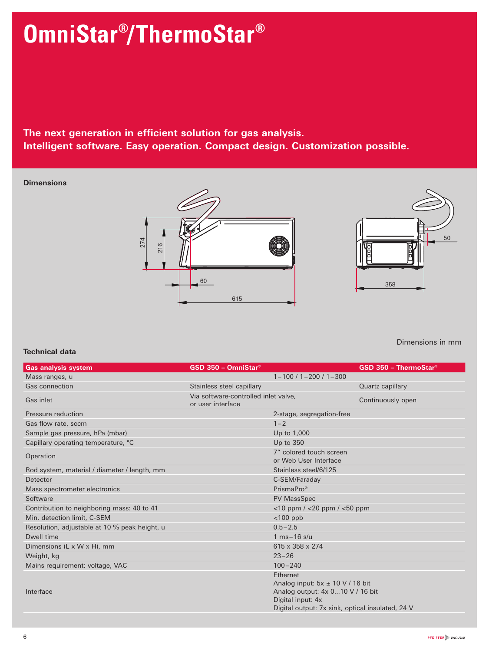## **OmniStar® /ThermoStar®**

### **The next generation in efficient solution for gas analysis. Intelligent software. Easy operation. Compact design. Customization possible.**

#### **Dimensions**





Dimensions in mm

#### **Technical data**

| <b>Gas analysis system</b>                    | $GSD 350 - OmniStar$ <sup>®</sup>                         |                                                                                                                                                               | <b>GSD 350 - ThermoStar®</b> |
|-----------------------------------------------|-----------------------------------------------------------|---------------------------------------------------------------------------------------------------------------------------------------------------------------|------------------------------|
| Mass ranges, u                                |                                                           | $1 - 100 / 1 - 200 / 1 - 300$                                                                                                                                 |                              |
| Gas connection                                | Stainless steel capillary                                 |                                                                                                                                                               | Quartz capillary             |
| Gas inlet                                     | Via software-controlled inlet valve,<br>or user interface |                                                                                                                                                               | Continuously open            |
| Pressure reduction                            |                                                           | 2-stage, segregation-free                                                                                                                                     |                              |
| Gas flow rate, sccm                           |                                                           | $1 - 2$                                                                                                                                                       |                              |
| Sample gas pressure, hPa (mbar)               |                                                           | Up to 1,000                                                                                                                                                   |                              |
| Capillary operating temperature, °C           |                                                           | Up to 350                                                                                                                                                     |                              |
| Operation                                     |                                                           | 7" colored touch screen<br>or Web User Interface                                                                                                              |                              |
| Rod system, material / diameter / length, mm  |                                                           | Stainless steel/6/125                                                                                                                                         |                              |
| Detector                                      |                                                           | C-SEM/Faraday                                                                                                                                                 |                              |
| Mass spectrometer electronics                 |                                                           | PrismaPro <sup>®</sup>                                                                                                                                        |                              |
| Software                                      |                                                           | <b>PV MassSpec</b>                                                                                                                                            |                              |
| Contribution to neighboring mass: 40 to 41    |                                                           | $<$ 10 ppm / $<$ 20 ppm / $<$ 50 ppm                                                                                                                          |                              |
| Min. detection limit. C-SEM                   |                                                           | $<$ 100 ppb                                                                                                                                                   |                              |
| Resolution, adjustable at 10 % peak height, u |                                                           | $0.5 - 2.5$                                                                                                                                                   |                              |
| Dwell time                                    |                                                           | $1 \text{ ms} - 16 \text{ s/u}$                                                                                                                               |                              |
| Dimensions (L x W x H), mm                    |                                                           | $615 \times 358 \times 274$                                                                                                                                   |                              |
| Weight, kg                                    |                                                           | $23 - 26$                                                                                                                                                     |                              |
| Mains requirement: voltage, VAC               |                                                           | $100 - 240$                                                                                                                                                   |                              |
| Interface                                     |                                                           | Ethernet<br>Analog input: $5x \pm 10$ V / 16 bit<br>Analog output: 4x 010 V / 16 bit<br>Digital input: 4x<br>Digital output: 7x sink, optical insulated, 24 V |                              |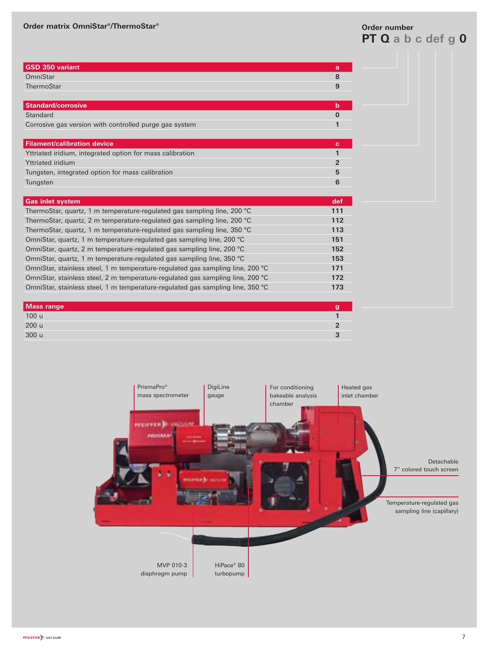#### **Order matrix OmniStar®/ThermoStar® Order number**

## **PT Q a b c def g 0**

| <b>GSD 350 variant</b>                                                         | a              |
|--------------------------------------------------------------------------------|----------------|
| OmniStar                                                                       | 8              |
| ThermoStar                                                                     | 9              |
|                                                                                |                |
| <b>Standard/corrosive</b>                                                      | b              |
| <b>Standard</b>                                                                | $\bf{0}$       |
| Corrosive gas version with controlled purge gas system                         | 1              |
|                                                                                |                |
| <b>Filament/calibration device</b>                                             | c.             |
| Yttriated iridium, integrated option for mass calibration                      | 1              |
| <b>Yttriated iridium</b>                                                       | $\overline{2}$ |
| Tungsten, integrated option for mass calibration                               | 5              |
| Tungsten                                                                       | 6              |
|                                                                                |                |
| <b>Gas inlet system</b>                                                        | def            |
| ThermoStar, quartz, 1 m temperature-regulated gas sampling line, 200 °C        | 111            |
| ThermoStar, quartz, 2 m temperature-regulated gas sampling line, 200 °C        | 112            |
| ThermoStar, quartz, 1 m temperature-regulated gas sampling line, 350 °C        | 113            |
| OmniStar, quartz, 1 m temperature-regulated gas sampling line, 200 °C          | 151            |
| OmniStar, quartz, 2 m temperature-regulated gas sampling line, 200 °C          | 152            |
| OmniStar, quartz, 1 m temperature-regulated gas sampling line, 350 °C          | 153            |
| OmniStar, stainless steel, 1 m temperature-regulated gas sampling line, 200 °C | 171            |
| OmniStar, stainless steel, 2 m temperature-regulated gas sampling line, 200 °C | 172            |
| OmniStar, stainless steel, 1 m temperature-regulated gas sampling line, 350 °C | 173            |
|                                                                                |                |
|                                                                                |                |
| <b>Mass range</b>                                                              | g              |